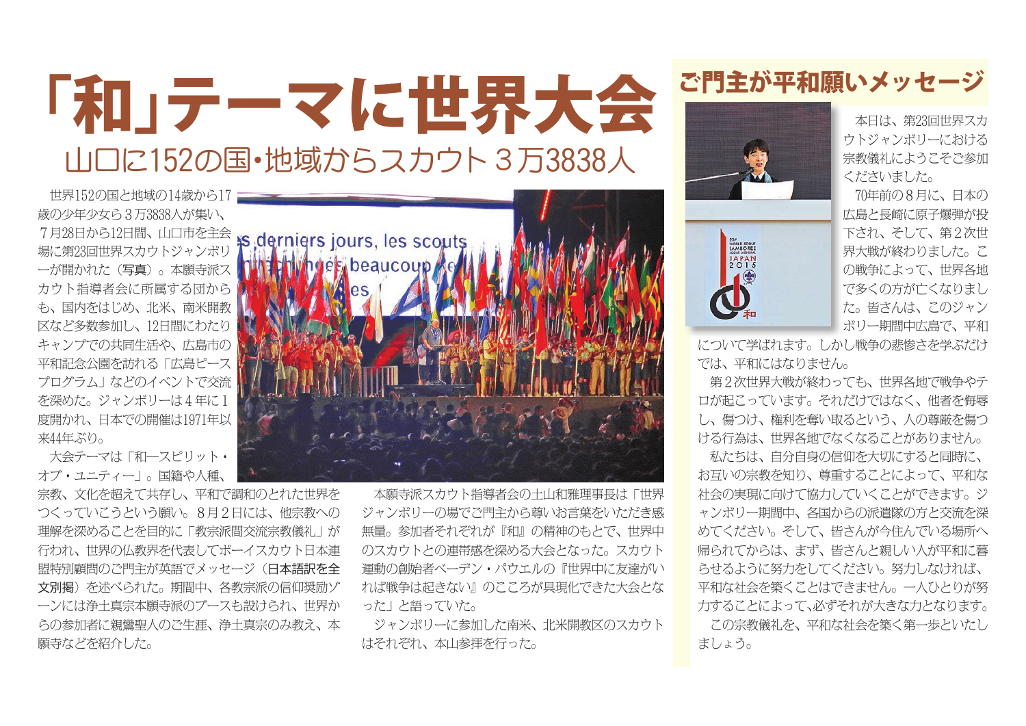## 「和」テーマに世界大会 ご門主が平和願いメッセージ 山口に152の国・地域からスカウト3万3838人

 世界152の国と地域の14歳から17 歳の少年少女ら3万3838人が集い、 7月28日から12日間、山口市を主会 場に第23回世界スカウトジャンボリ ーが開かれた(写真)。本願寺派ス カウト指導者会に所属する団から も、国内をはじめ、北米、南米開教 区など多数参加し、12日間にわたり キャンプでの共同生活や、広島市の 平和記念公園を訪れる「広島ピース プログラム」などのイベントで交流 を深めた。ジャンボリーは4年に1 度開かれ、日本での開催は1971年以 来44年ぶり。

 大会テーマは「和―スピリット・ オブ・ユニティー」。国籍や人種、

宗教、文化を超えて共存し、平和で調和のとれた世界を つくっていこうという願い。8月2日には、他宗教への 理解を深めることを目的に「教宗派間交流宗教儀礼」が 行われ、世界の仏教界を代表してボーイスカウト日本連 盟特別顧問のご門主が英語でメッセージ(日本語訳を全 文別掲)を述べられた。期間中、各教宗派の信仰奨励ゾ ーンには浄土真宗本願寺派のブースも設けられ、世界か らの参加者に親鸞聖人のご生涯、浄土真宗のみ教え、本 願寺などを紹介した。



 本願寺派スカウト指導者会の土山和雅理事長は「世界 ジャンボリーの場でご門主から尊いお言葉をいただき感 無量。参加者それぞれが『和』の精神のもとで、世界中 のスカウトとの連帯感を深める大会となった。スカウト 運動の創始者ベーデン・パウエルの『世界中に友達がい れば戦争は起きない』のこころが具現化できた大会とな った」と語っていた。

 ジャンボリーに参加した南米、北米開教区のスカウト はそれぞれ、本山参拝を行った。



WORLD SCOUT<br>
JAMBOREE<br>
SCOUT MONDIAL<br>
JAPAN<br>
2015

 本日は、第23回世界スカ ウトジャンボリーにおける 宗教儀礼にようこそご参加 くださいました。

 70年前の8月に、日本の 広島と長崎に原子爆弾が投 下され、そして、第2次世 界大戦が終わりました。こ の戦争によって、世界各地 で多くの方が亡くなりまし た。皆さんは、このジャン ボリー期間中広島で、平和

について学ばれます。しかし戦争の悲惨さを学ぶだけ では、平和にはなりません。

 第2次世界大戦が終わっても、世界各地で戦争やテ ロが起こっています。それだけではなく、他者を侮辱 し、傷つけ、権利を奪い取るという、人の尊厳を傷つ ける行為は、世界各地でなくなることがありません。

 私たちは、自分自身の信仰を大切にすると同時に、 お互いの宗教を知り、尊重することによって、平和な 社会の実現に向けて協力していくことができます。ジ ャンボリー期間中、各国からの派遣隊の方と交流を深 めてください。そして、皆さんが今住んでいる場所へ 帰られてからは、まず、皆さんと親しい人が平和に暮 らせるように努力をしてください。努力しなければ、 平和な社会を築くことはできません。一人ひとりが努 力することによって、必ずそれが大きな力となります。

 この宗教儀礼を、平和な社会を築く第一歩といたし ましょう。